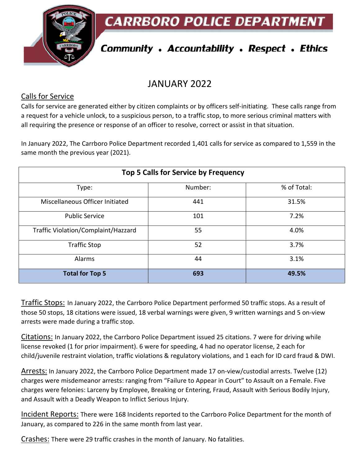**CARRBORO POLICE DEPARTMEN** 



# **Community . Accountability . Respect . Ethics**

## JANUARY 2022

#### Calls for Service

Calls for service are generated either by citizen complaints or by officers self-initiating. These calls range from a request for a vehicle unlock, to a suspicious person, to a traffic stop, to more serious criminal matters with all requiring the presence or response of an officer to resolve, correct or assist in that situation.

In January 2022, The Carrboro Police Department recorded 1,401 calls for service as compared to 1,559 in the same month the previous year (2021).

| Top 5 Calls for Service by Frequency |         |             |
|--------------------------------------|---------|-------------|
| Type:                                | Number: | % of Total: |
| Miscellaneous Officer Initiated      | 441     | 31.5%       |
| <b>Public Service</b>                | 101     | 7.2%        |
| Traffic Violation/Complaint/Hazzard  | 55      | 4.0%        |
| <b>Traffic Stop</b>                  | 52      | 3.7%        |
| Alarms                               | 44      | 3.1%        |
| <b>Total for Top 5</b>               | 693     | 49.5%       |

Traffic Stops: In January 2022, the Carrboro Police Department performed 50 traffic stops. As a result of those 50 stops, 18 citations were issued, 18 verbal warnings were given, 9 written warnings and 5 on-view arrests were made during a traffic stop.

Citations: In January 2022, the Carrboro Police Department issued 25 citations. 7 were for driving while license revoked (1 for prior impairment). 6 were for speeding, 4 had no operator license, 2 each for child/juvenile restraint violation, traffic violations & regulatory violations, and 1 each for ID card fraud & DWI.

Arrests: In January 2022, the Carrboro Police Department made 17 on-view/custodial arrests. Twelve (12) charges were misdemeanor arrests: ranging from "Failure to Appear in Court" to Assault on a Female. Five charges were felonies: Larceny by Employee, Breaking or Entering, Fraud, Assault with Serious Bodily Injury, and Assault with a Deadly Weapon to Inflict Serious Injury.

Incident Reports: There were 168 Incidents reported to the Carrboro Police Department for the month of January, as compared to 226 in the same month from last year.

Crashes: There were 29 traffic crashes in the month of January. No fatalities.